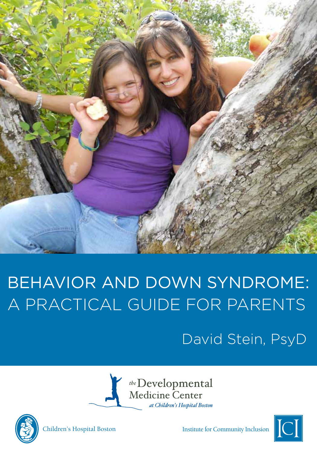

# Behavior and Down Syndrome: A Practical Guide for Parents

## David Stein, PsyD







Children's Hospital Boston Institute for Community Inclusion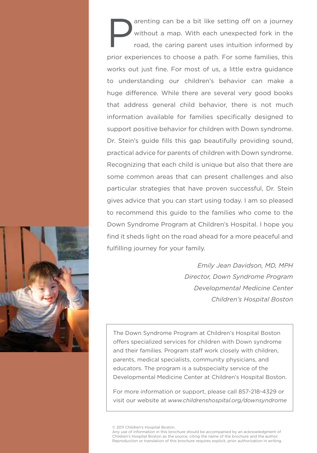arenting can be a bit like setting off on a journey<br>without a map. With each unexpected fork in the<br>road, the caring parent uses intuition informed by without a map. With each unexpected fork in the road, the caring parent uses intuition informed by prior experiences to choose a path. For some families, this works out just fine. For most of us, a little extra guidance to understanding our children's behavior can make a huge difference. While there are several very good books that address general child behavior, there is not much information available for families specifically designed to support positive behavior for children with Down syndrome. Dr. Stein's guide fills this gap beautifully providing sound, practical advice for parents of children with Down syndrome. Recognizing that each child is unique but also that there are some common areas that can present challenges and also particular strategies that have proven successful, Dr. Stein gives advice that you can start using today. I am so pleased to recommend this guide to the families who come to the Down Syndrome Program at Children's Hospital. I hope you find it sheds light on the road ahead for a more peaceful and fulfilling journey for your family.

*Emily Jean Davidson, MD, MPH Director, Down Syndrome Program Developmental Medicine Center Children's Hospital Boston*

The Down Syndrome Program at Children's Hospital Boston offers specialized services for children with Down syndrome and their families. Program staff work closely with children, parents, medical specialists, community physicians, and educators. The program is a subspecialty service of the Developmental Medicine Center at Children's Hospital Boston.

For more information or support, please call 857-218-4329 or visit our website at *www.childrenshospital.org/downsyndrome*

© 2011 Children's Hospital Boston.

Any use of information in this brochure should be accompanied by an acknowledgment of Children's Hospital Boston as the source, citing the name of the brochure and the author. Reproduction or translation of this brochure requires explicit, prior authorization in writing.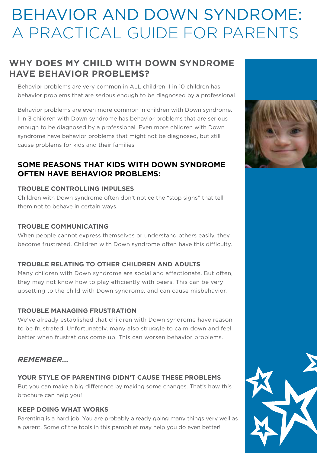## Behavior and Down Syndrome: A Practical Guide for Parents

### **Why does my child with Down syndrome have behavior problems?**

Behavior problems are very common in ALL children. 1 in 10 children has behavior problems that are serious enough to be diagnosed by a professional.

Behavior problems are even more common in children with Down syndrome. 1 in 3 children with Down syndrome has behavior problems that are serious enough to be diagnosed by a professional. Even more children with Down syndrome have behavior problems that might not be diagnosed, but still cause problems for kids and their families.

### **some reasons that kids with Down syndrome often have behavior problems:**

### **trouble controlling impulses**

Children with Down syndrome often don't notice the "stop signs" that tell them not to behave in certain ways.

### **trouble communicating**

When people cannot express themselves or understand others easily, they become frustrated. Children with Down syndrome often have this difficulty.

### **trouble relating to other children and adults**

Many children with Down syndrome are social and affectionate. But often, they may not know how to play efficiently with peers. This can be very upsetting to the child with Down syndrome, and can cause misbehavior.

### **trouble managing frustration**

We've already established that children with Down syndrome have reason to be frustrated. Unfortunately, many also struggle to calm down and feel better when frustrations come up. This can worsen behavior problems.

### *Remember…*

**Your style of parenting didn't cause these problems** But you can make a big difference by making some changes. That's how this brochure can help you!

### **Keep doing what works**

Parenting is a hard job. You are probably already going many things very well as a parent. Some of the tools in this pamphlet may help you do even better!



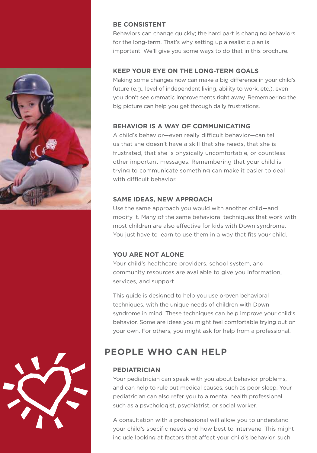



### **Be consistent**

Behaviors can change quickly; the hard part is changing behaviors for the long-term. That's why setting up a realistic plan is important. We'll give you some ways to do that in this brochure.

### **Keep your eye on the long-term goals**

Making some changes now can make a big difference in your child's future (e.g., level of independent living, ability to work, etc.), even you don't see dramatic improvements right away. Remembering the big picture can help you get through daily frustrations.

### **Behavior is a way of communicating**

A child's behavior—even really difficult behavior—can tell us that she doesn't have a skill that she needs, that she is frustrated, that she is physically uncomfortable, or countless other important messages. Remembering that your child is trying to communicate something can make it easier to deal with difficult behavior.

### **SAME IDEAS, NEW APPROACH**

Use the same approach you would with another child—and modify it. Many of the same behavioral techniques that work with most children are also effective for kids with Down syndrome. You just have to learn to use them in a way that fits your child.

### **You are not alone**

Your child's healthcare providers, school system, and community resources are available to give you information, services, and support.

This guide is designed to help you use proven behavioral techniques, with the unique needs of children with Down syndrome in mind. These techniques can help improve your child's behavior. Some are ideas you might feel comfortable trying out on your own. For others, you might ask for help from a professional.

### **People Who Can Help**

### **pediatrician**

Your pediatrician can speak with you about behavior problems, and can help to rule out medical causes, such as poor sleep. Your pediatrician can also refer you to a mental health professional such as a psychologist, psychiatrist, or social worker.

A consultation with a professional will allow you to understand your child's specific needs and how best to intervene. This might include looking at factors that affect your child's behavior, such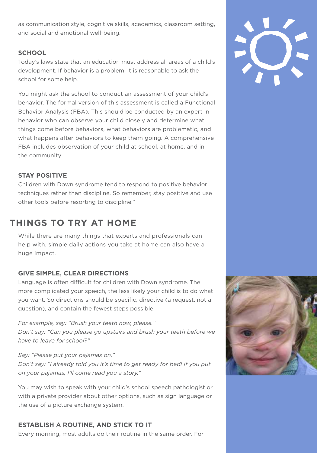as communication style, cognitive skills, academics, classroom setting, and social and emotional well-being.

### **school**

Today's laws state that an education must address all areas of a child's development. If behavior is a problem, it is reasonable to ask the school for some help.

You might ask the school to conduct an assessment of your child's behavior. The formal version of this assessment is called a Functional Behavior Analysis (FBA). This should be conducted by an expert in behavior who can observe your child closely and determine what things come before behaviors, what behaviors are problematic, and what happens after behaviors to keep them going. A comprehensive FBA includes observation of your child at school, at home, and in the community.

### **STAY POSITIVE**

Children with Down syndrome tend to respond to positive behavior techniques rather than discipline. So remember, stay positive and use other tools before resorting to discipline."

### **Things to Try at Home**

While there are many things that experts and professionals can help with, simple daily actions you take at home can also have a huge impact.

### **Give simple, clear directions**

Language is often difficult for children with Down syndrome. The more complicated your speech, the less likely your child is to do what you want. So directions should be specific, directive (a request, not a question), and contain the fewest steps possible.

*For example, say: "Brush your teeth now, please." Don't say: "Can you please go upstairs and brush your teeth before we have to leave for school?"* 

*Say: "Please put your pajamas on." Don't say: "I already told you it's time to get ready for bed! If you put on your pajamas, I'll come read you a story."*

You may wish to speak with your child's school speech pathologist or with a private provider about other options, such as sign language or the use of a picture exchange system.

### **Establish a routine, and stick to it**

Every morning, most adults do their routine in the same order. For



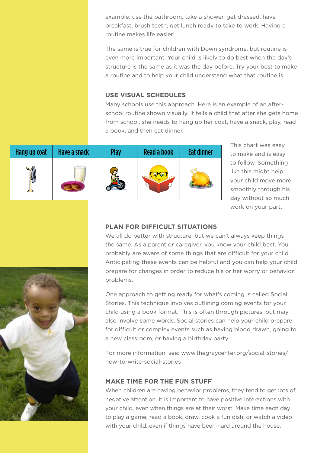example: use the bathroom, take a shower, get dressed, have breakfast, brush teeth, get lunch ready to take to work. Having a routine makes life easier!

The same is true for children with Down syndrome, but routine is even more important. Your child is likely to do best when the day's structure is the same as it was the day before. Try your best to make a routine and to help your child understand what that routine is.

### **use visual schedules**

Many schools use this approach. Here is an example of an afterschool routine shown visually. It tells a child that after she gets home from school, she needs to hang up her coat, have a snack, play, read a book, and then eat dinner.

| Hang up coat | Have a snack | Play | <b>Read a book</b> | <b>Eat dinner</b> |
|--------------|--------------|------|--------------------|-------------------|
|              |              |      |                    |                   |

This chart was easy to make and is easy to follow. Something like this might help your child move more smoothly through his day without so much work on your part.

### **PLAN FOR DIFFICULT SITUATIONS**

We all do better with structure, but we can't always keep things the same. As a parent or caregiver, you know your child best. You probably are aware of some things that are difficult for your child. Anticipating these events can be helpful and you can help your child prepare for changes in order to reduce his or her worry or behavior problems.

One approach to getting ready for what's coming is called Social Stories. This technique involves outlining coming events for your child using a book format. This is often through pictures, but may also involve some words. Social stories can help your child prepare for difficult or complex events such as having blood drawn, going to a new classroom, or having a birthday party.

For more information, see: www.thegraycenter.org/social-stories/ how-to-write-social-stories

#### **Make time for the fun stuff**

When children are having behavior problems, they tend to get lots of negative attention. It is important to have positive interactions with your child, even when things are at their worst. Make time each day to play a game, read a book, draw, cook a fun dish, or watch a video with your child, even if things have been hard around the house.

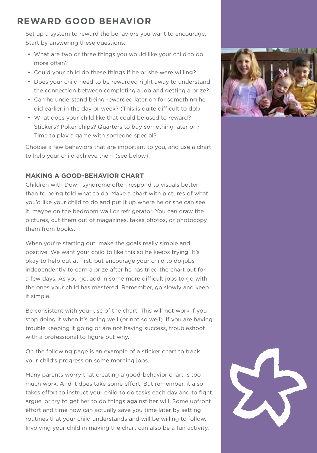### **Reward good behavior**

Set up a system to reward the behaviors you want to encourage. Start by answering these questions:

- What are two or three things you would like your child to do more often?
- Could your child do these things if he or she were willing?
- Does your child need to be rewarded right away to understand the connection between completing a job and getting a prize?
- Can he understand being rewarded later on for something he did earlier in the day or week? (This is quite difficult to do!)
- What does your child like that could be used to reward? Stickers? Poker chips? Quarters to buy something later on? Time to play a game with someone special?

Choose a few behaviors that are important to you, and use a chart to help your child achieve them (see below).

### **MakING a good-behavior chart**

Children with Down syndrome often respond to visuals better than to being told what to do. Make a chart with pictures of what you'd like your child to do and put it up where he or she can see it, maybe on the bedroom wall or refrigerator. You can draw the pictures, cut them out of magazines, takes photos, or photocopy them from books.

When you're starting out, make the goals really simple and positive. We want your child to like this so he keeps trying! It's okay to help out at first, but encourage your child to do jobs independently to earn a prize after he has tried the chart out for a few days. As you go, add in some more difficult jobs to go with the ones your child has mastered. Remember, go slowly and keep it simple.

Be consistent with your use of the chart. This will not work if you stop doing it when it's going well (or not so well). If you are having trouble keeping it going or are not having success, troubleshoot with a professional to figure out why.

On the following page is an example of a sticker chart to track your child's progress on some morning jobs.

Many parents worry that creating a good-behavior chart is too much work. And it does take some effort. But remember, it also takes effort to instruct your child to do tasks each day and to fight, argue, or try to get her to do things against her will. Some upfront effort and time now can actually save you time later by setting routines that your child understands and will be willing to follow. Involving your child in making the chart can also be a fun activity.



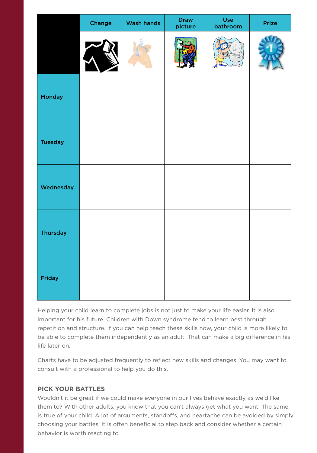|                 | Change | <b>Wash hands</b> | <b>Draw</b><br>picture | Use<br>bathroom | Prize |
|-----------------|--------|-------------------|------------------------|-----------------|-------|
|                 |        |                   |                        |                 |       |
| Monday          |        |                   |                        |                 |       |
| <b>Tuesday</b>  |        |                   |                        |                 |       |
| Wednesday       |        |                   |                        |                 |       |
| <b>Thursday</b> |        |                   |                        |                 |       |
| Friday          |        |                   |                        |                 |       |

Helping your child learn to complete jobs is not just to make your life easier. It is also important for his future. Children with Down syndrome tend to learn best through repetition and structure. If you can help teach these skills now, your child is more likely to be able to complete them independently as an adult. That can make a big difference in his life later on.

Charts have to be adjusted frequently to reflect new skills and changes. You may want to consult with a professional to help you do this.

### **Pick your battles**

Wouldn't it be great if we could make everyone in our lives behave exactly as we'd like them to? With other adults, you know that you can't always get what you want. The same is true of your child. A lot of arguments, standoffs, and heartache can be avoided by simply choosing your battles. It is often beneficial to step back and consider whether a certain behavior is worth reacting to.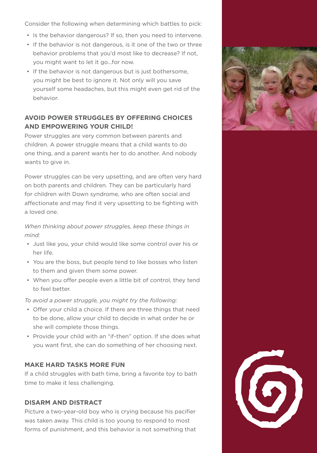Consider the following when determining which battles to pick:

- Is the behavior dangerous? If so, then you need to intervene.
- If the behavior is not dangerous, is it one of the two or three behavior problems that you'd most like to decrease? If not, you might want to let it go…for now.
- If the behavior is not dangerous but is just bothersome, you might be best to ignore it. Not only will you save yourself some headaches, but this might even get rid of the behavior.

### **Avoid power struggles BY OFFERING CHOICES AND EMPOWERING YOUR CHILD!**

Power struggles are very common between parents and children. A power struggle means that a child wants to do one thing, and a parent wants her to do another. And nobody wants to give in.

Power struggles can be very upsetting, and are often very hard on both parents and children. They can be particularly hard for children with Down syndrome, who are often social and affectionate and may find it very upsetting to be fighting with a loved one.

*When thinking about power struggles, keep these things in mind:*

- Just like you, your child would like some control over his or her life.
- You are the boss, but people tend to like bosses who listen to them and given them some power.
- When you offer people even a little bit of control, they tend to feel better.

*To avoid a power struggle, you might try the following:* 

- Offer your child a choice. If there are three things that need to be done, allow your child to decide in what order he or she will complete those things.
- Provide your child with an "if-then" option. If she does what you want first, she can do something of her choosing next.

### **MAKE HARD TASKS MORE FUN**

If a child struggles with bath time, bring a favorite toy to bath time to make it less challenging.

#### **Disarm and Distract**

Picture a two-year-old boy who is crying because his pacifier was taken away. This child is too young to respond to most forms of punishment, and this behavior is not something that



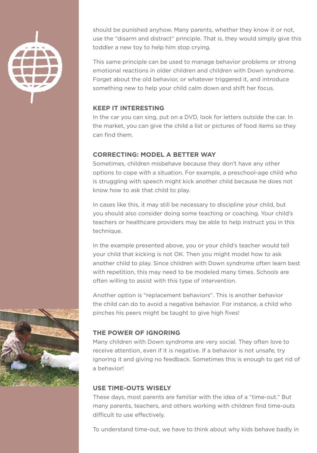

should be punished anyhow. Many parents, whether they know it or not, use the "disarm and distract" principle. That is, they would simply give this toddler a new toy to help him stop crying.

This same principle can be used to manage behavior problems or strong emotional reactions in older children and children with Down syndrome. Forget about the old behavior, or whatever triggered it, and introduce something new to help your child calm down and shift her focus.

### **KEEP IT INTERESTING**

In the car you can sing, put on a DVD, look for letters outside the car. In the market, you can give the child a list or pictures of food items so they can find them.

### **Correcting: Model a better way**

Sometimes, children misbehave because they don't have any other options to cope with a situation. For example, a preschool-age child who is struggling with speech might kick another child because he does not know how to ask that child to play.

In cases like this, it may still be necessary to discipline your child, but you should also consider doing some teaching or coaching. Your child's teachers or healthcare providers may be able to help instruct you in this technique.

In the example presented above, you or your child's teacher would tell your child that kicking is not OK. Then you might model how to ask another child to play. Since children with Down syndrome often learn best with repetition, this may need to be modeled many times. Schools are often willing to assist with this type of intervention.

Another option is "replacement behaviors". This is another behavior the child can do to avoid a negative behavior. For instance, a child who pinches his peers might be taught to give high fives!

### **THE POWER OF IGNORING**

Many children with Down syndrome are very social. They often love to receive attention, even if it is negative. If a behavior is not unsafe, try ignoring it and giving no feedback. Sometimes this is enough to get rid of a behavior!

### **Use time-outs wisely**

These days, most parents are familiar with the idea of a "time-out." But many parents, teachers, and others working with children find time-outs difficult to use effectively.

To understand time-out, we have to think about why kids behave badly in

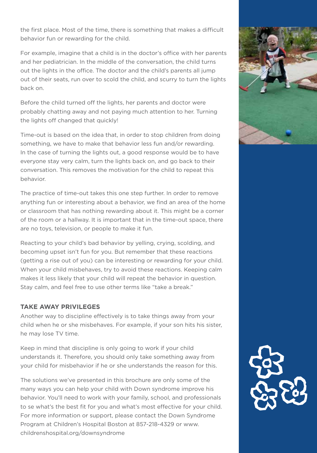the first place. Most of the time, there is something that makes a difficult behavior fun or rewarding for the child.

For example, imagine that a child is in the doctor's office with her parents and her pediatrician. In the middle of the conversation, the child turns out the lights in the office. The doctor and the child's parents all jump out of their seats, run over to scold the child, and scurry to turn the lights back on.

Before the child turned off the lights, her parents and doctor were probably chatting away and not paying much attention to her. Turning the lights off changed that quickly!

Time-out is based on the idea that, in order to stop children from doing something, we have to make that behavior less fun and/or rewarding. In the case of turning the lights out, a good response would be to have everyone stay very calm, turn the lights back on, and go back to their conversation. This removes the motivation for the child to repeat this behavior.

The practice of time-out takes this one step further. In order to remove anything fun or interesting about a behavior, we find an area of the home or classroom that has nothing rewarding about it. This might be a corner of the room or a hallway. It is important that in the time-out space, there are no toys, television, or people to make it fun.

Reacting to your child's bad behavior by yelling, crying, scolding, and becoming upset isn't fun for you. But remember that these reactions (getting a rise out of you) can be interesting or rewarding for your child. When your child misbehaves, try to avoid these reactions. Keeping calm makes it less likely that your child will repeat the behavior in question. Stay calm, and feel free to use other terms like "take a break."

### **Take away privileges**

Another way to discipline effectively is to take things away from your child when he or she misbehaves. For example, if your son hits his sister, he may lose TV time.

Keep in mind that discipline is only going to work if your child understands it. Therefore, you should only take something away from your child for misbehavior if he or she understands the reason for this.

The solutions we've presented in this brochure are only some of the many ways you can help your child with Down syndrome improve his behavior. You'll need to work with your family, school, and professionals to se what's the best fit for you and what's most effective for your child. For more information or support, please contact the Down Syndrome Program at Children's Hospital Boston at 857-218-4329 or www. childrenshospital.org/downsyndrome